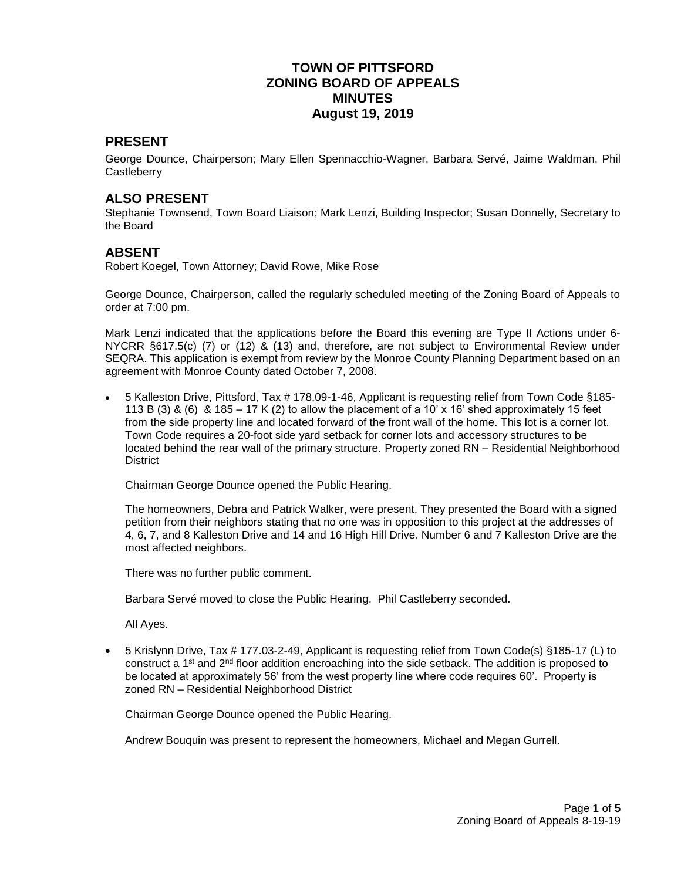# **TOWN OF PITTSFORD ZONING BOARD OF APPEALS MINUTES August 19, 2019**

### **PRESENT**

George Dounce, Chairperson; Mary Ellen Spennacchio-Wagner, Barbara Servé, Jaime Waldman, Phil **Castleberry** 

### **ALSO PRESENT**

Stephanie Townsend, Town Board Liaison; Mark Lenzi, Building Inspector; Susan Donnelly, Secretary to the Board

### **ABSENT**

Robert Koegel, Town Attorney; David Rowe, Mike Rose

George Dounce, Chairperson, called the regularly scheduled meeting of the Zoning Board of Appeals to order at 7:00 pm.

Mark Lenzi indicated that the applications before the Board this evening are Type II Actions under 6- NYCRR §617.5(c) (7) or (12) & (13) and, therefore, are not subject to Environmental Review under SEQRA. This application is exempt from review by the Monroe County Planning Department based on an agreement with Monroe County dated October 7, 2008.

 5 Kalleston Drive, Pittsford, Tax # 178.09-1-46, Applicant is requesting relief from Town Code §185- 113 B (3) & (6) & 185 – 17 K (2) to allow the placement of a 10' x 16' shed approximately 15 feet from the side property line and located forward of the front wall of the home. This lot is a corner lot. Town Code requires a 20-foot side yard setback for corner lots and accessory structures to be located behind the rear wall of the primary structure. Property zoned RN – Residential Neighborhood **District** 

Chairman George Dounce opened the Public Hearing.

The homeowners, Debra and Patrick Walker, were present. They presented the Board with a signed petition from their neighbors stating that no one was in opposition to this project at the addresses of 4, 6, 7, and 8 Kalleston Drive and 14 and 16 High Hill Drive. Number 6 and 7 Kalleston Drive are the most affected neighbors.

There was no further public comment.

Barbara Servé moved to close the Public Hearing. Phil Castleberry seconded.

All Ayes.

 5 Krislynn Drive, Tax # 177.03-2-49, Applicant is requesting relief from Town Code(s) §185-17 (L) to construct a 1st and 2nd floor addition encroaching into the side setback. The addition is proposed to be located at approximately 56' from the west property line where code requires 60'. Property is zoned RN – Residential Neighborhood District

Chairman George Dounce opened the Public Hearing.

Andrew Bouquin was present to represent the homeowners, Michael and Megan Gurrell.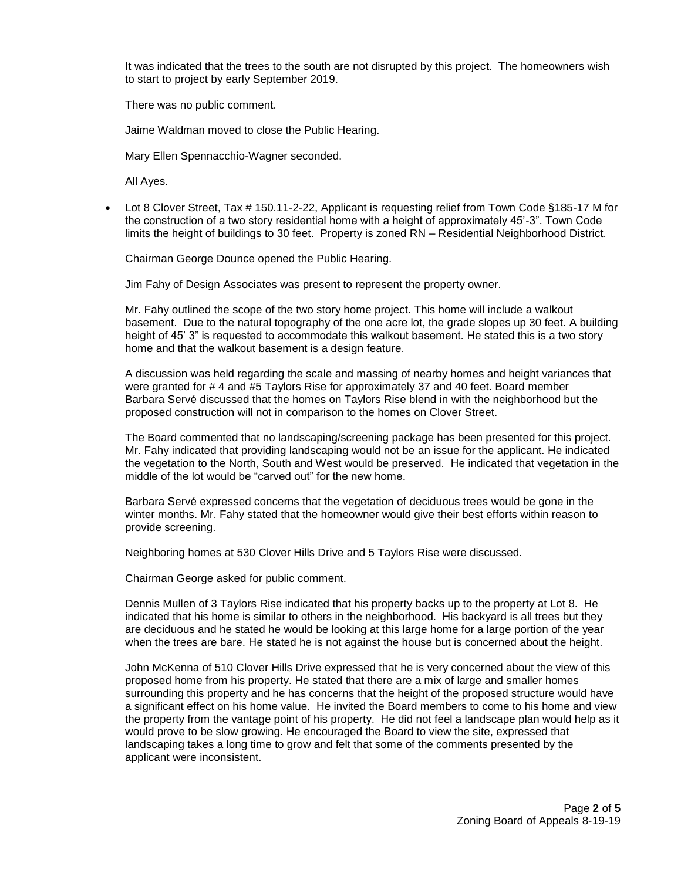It was indicated that the trees to the south are not disrupted by this project. The homeowners wish to start to project by early September 2019.

There was no public comment.

Jaime Waldman moved to close the Public Hearing.

Mary Ellen Spennacchio-Wagner seconded.

All Ayes.

Lot 8 Clover Street, Tax # 150.11-2-22, Applicant is requesting relief from Town Code §185-17 M for the construction of a two story residential home with a height of approximately 45'-3". Town Code limits the height of buildings to 30 feet. Property is zoned RN – Residential Neighborhood District.

Chairman George Dounce opened the Public Hearing.

Jim Fahy of Design Associates was present to represent the property owner.

Mr. Fahy outlined the scope of the two story home project. This home will include a walkout basement. Due to the natural topography of the one acre lot, the grade slopes up 30 feet. A building height of 45' 3" is requested to accommodate this walkout basement. He stated this is a two story home and that the walkout basement is a design feature.

A discussion was held regarding the scale and massing of nearby homes and height variances that were granted for # 4 and #5 Taylors Rise for approximately 37 and 40 feet. Board member Barbara Servé discussed that the homes on Taylors Rise blend in with the neighborhood but the proposed construction will not in comparison to the homes on Clover Street.

The Board commented that no landscaping/screening package has been presented for this project. Mr. Fahy indicated that providing landscaping would not be an issue for the applicant. He indicated the vegetation to the North, South and West would be preserved. He indicated that vegetation in the middle of the lot would be "carved out" for the new home.

Barbara Servé expressed concerns that the vegetation of deciduous trees would be gone in the winter months. Mr. Fahy stated that the homeowner would give their best efforts within reason to provide screening.

Neighboring homes at 530 Clover Hills Drive and 5 Taylors Rise were discussed.

Chairman George asked for public comment.

Dennis Mullen of 3 Taylors Rise indicated that his property backs up to the property at Lot 8. He indicated that his home is similar to others in the neighborhood. His backyard is all trees but they are deciduous and he stated he would be looking at this large home for a large portion of the year when the trees are bare. He stated he is not against the house but is concerned about the height.

John McKenna of 510 Clover Hills Drive expressed that he is very concerned about the view of this proposed home from his property. He stated that there are a mix of large and smaller homes surrounding this property and he has concerns that the height of the proposed structure would have a significant effect on his home value. He invited the Board members to come to his home and view the property from the vantage point of his property. He did not feel a landscape plan would help as it would prove to be slow growing. He encouraged the Board to view the site, expressed that landscaping takes a long time to grow and felt that some of the comments presented by the applicant were inconsistent.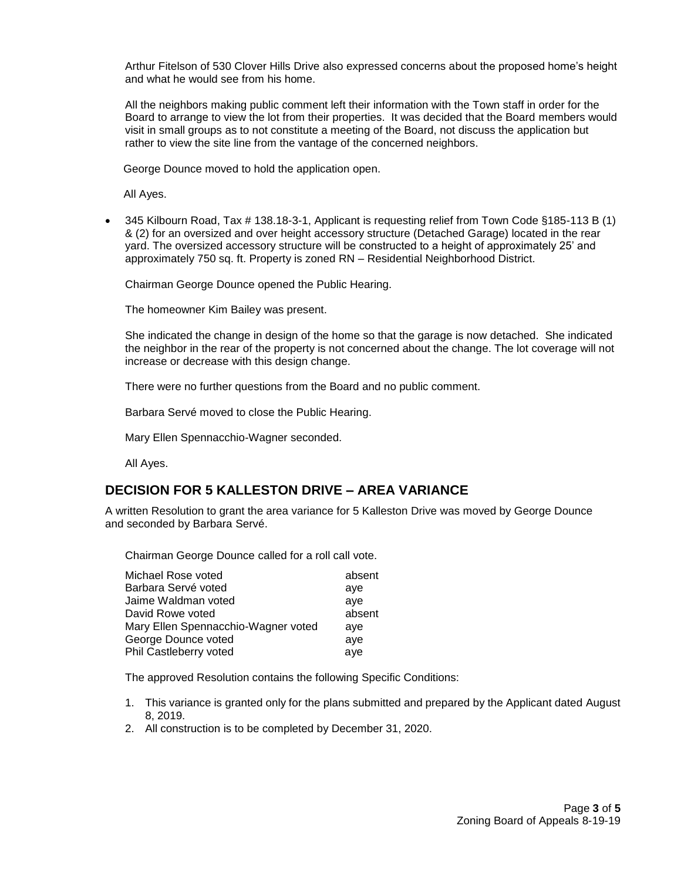Arthur Fitelson of 530 Clover Hills Drive also expressed concerns about the proposed home's height and what he would see from his home.

All the neighbors making public comment left their information with the Town staff in order for the Board to arrange to view the lot from their properties. It was decided that the Board members would visit in small groups as to not constitute a meeting of the Board, not discuss the application but rather to view the site line from the vantage of the concerned neighbors.

George Dounce moved to hold the application open.

All Ayes.

 345 Kilbourn Road, Tax # 138.18-3-1, Applicant is requesting relief from Town Code §185-113 B (1) & (2) for an oversized and over height accessory structure (Detached Garage) located in the rear yard. The oversized accessory structure will be constructed to a height of approximately 25' and approximately 750 sq. ft. Property is zoned RN – Residential Neighborhood District.

Chairman George Dounce opened the Public Hearing.

The homeowner Kim Bailey was present.

She indicated the change in design of the home so that the garage is now detached. She indicated the neighbor in the rear of the property is not concerned about the change. The lot coverage will not increase or decrease with this design change.

There were no further questions from the Board and no public comment.

Barbara Servé moved to close the Public Hearing.

Mary Ellen Spennacchio-Wagner seconded.

All Ayes.

# **DECISION FOR 5 KALLESTON DRIVE – AREA VARIANCE**

A written Resolution to grant the area variance for 5 Kalleston Drive was moved by George Dounce and seconded by Barbara Servé.

Chairman George Dounce called for a roll call vote.

| Michael Rose voted                  | absent |
|-------------------------------------|--------|
| Barbara Servé voted                 | ave    |
| Jaime Waldman voted                 | ave    |
| David Rowe voted                    | absent |
| Mary Ellen Spennacchio-Wagner voted | ave    |
| George Dounce voted                 | aye    |
| Phil Castleberry voted              | aye    |

The approved Resolution contains the following Specific Conditions:

- 1. This variance is granted only for the plans submitted and prepared by the Applicant dated August 8, 2019.
- 2. All construction is to be completed by December 31, 2020.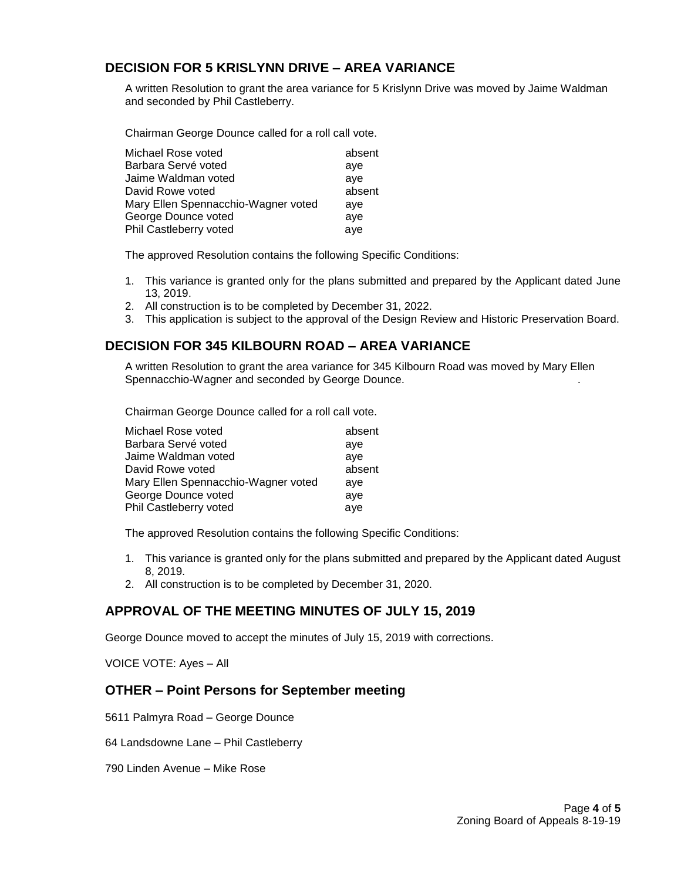# **DECISION FOR 5 KRISLYNN DRIVE – AREA VARIANCE**

A written Resolution to grant the area variance for 5 Krislynn Drive was moved by Jaime Waldman and seconded by Phil Castleberry.

Chairman George Dounce called for a roll call vote.

| Michael Rose voted                  | absent |
|-------------------------------------|--------|
| Barbara Servé voted                 | ave    |
| Jaime Waldman voted                 | ave    |
| David Rowe voted                    | absent |
| Mary Ellen Spennacchio-Wagner voted | ave    |
| George Dounce voted                 | aye    |
| Phil Castleberry voted              | aye    |

The approved Resolution contains the following Specific Conditions:

- 1. This variance is granted only for the plans submitted and prepared by the Applicant dated June 13, 2019.
- 2. All construction is to be completed by December 31, 2022.
- 3. This application is subject to the approval of the Design Review and Historic Preservation Board.

# **DECISION FOR 345 KILBOURN ROAD – AREA VARIANCE**

A written Resolution to grant the area variance for 345 Kilbourn Road was moved by Mary Ellen Spennacchio-Wagner and seconded by George Dounce. .

Chairman George Dounce called for a roll call vote.

| Michael Rose voted                  | absent |
|-------------------------------------|--------|
| Barbara Servé voted                 | aye    |
| Jaime Waldman voted                 | ave    |
| David Rowe voted                    | absent |
| Mary Ellen Spennacchio-Wagner voted | ave    |
| George Dounce voted                 | ave    |
| Phil Castleberry voted              | aye    |

The approved Resolution contains the following Specific Conditions:

- 1. This variance is granted only for the plans submitted and prepared by the Applicant dated August 8, 2019.
- 2. All construction is to be completed by December 31, 2020.

# **APPROVAL OF THE MEETING MINUTES OF JULY 15, 2019**

George Dounce moved to accept the minutes of July 15, 2019 with corrections.

VOICE VOTE: Ayes – All

### **OTHER – Point Persons for September meeting**

5611 Palmyra Road – George Dounce

64 Landsdowne Lane – Phil Castleberry

790 Linden Avenue – Mike Rose